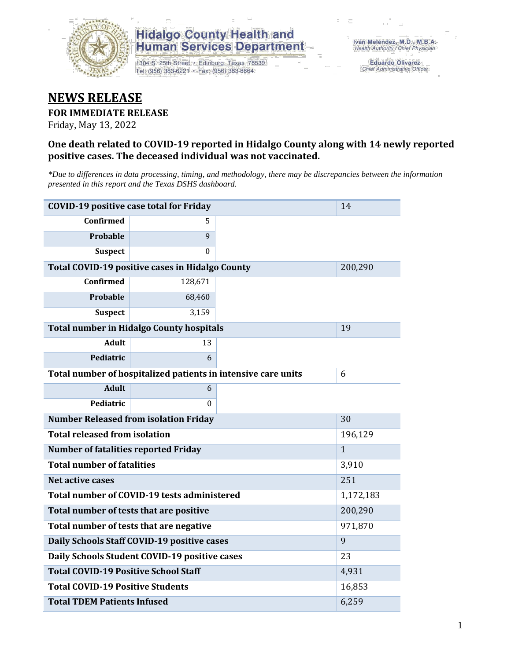

## **Hidalgo County Health and Human Services Department**

1304 S. 25th Street · Edinburg, Texas 78539 Tel: (956) 383-6221 · Fax: (956) 383-8864

**Eduardo Olivarez** Chief Administrative Officer

# **NEWS RELEASE**

#### **FOR IMMEDIATE RELEASE**

Friday, May 13, 2022

#### **One death related to COVID-19 reported in Hidalgo County along with 14 newly reported positive cases. The deceased individual was not vaccinated.**

*\*Due to differences in data processing, timing, and methodology, there may be discrepancies between the information presented in this report and the Texas DSHS dashboard.*

| <b>COVID-19 positive case total for Friday</b>  | 14                                                            |              |  |  |
|-------------------------------------------------|---------------------------------------------------------------|--------------|--|--|
| <b>Confirmed</b>                                | 5.                                                            |              |  |  |
| Probable                                        | 9                                                             |              |  |  |
| <b>Suspect</b>                                  | $\Omega$                                                      |              |  |  |
| Total COVID-19 positive cases in Hidalgo County |                                                               | 200,290      |  |  |
| <b>Confirmed</b>                                | 128,671                                                       |              |  |  |
| Probable                                        | 68,460                                                        |              |  |  |
| <b>Suspect</b>                                  | 3,159                                                         |              |  |  |
| <b>Total number in Hidalgo County hospitals</b> |                                                               | 19           |  |  |
| <b>Adult</b>                                    | 13                                                            |              |  |  |
| Pediatric                                       | 6                                                             |              |  |  |
|                                                 | Total number of hospitalized patients in intensive care units | 6            |  |  |
| <b>Adult</b>                                    | 6                                                             |              |  |  |
| Pediatric                                       | 0                                                             |              |  |  |
| <b>Number Released from isolation Friday</b>    |                                                               | 30           |  |  |
| <b>Total released from isolation</b>            |                                                               | 196,129      |  |  |
| <b>Number of fatalities reported Friday</b>     |                                                               | $\mathbf{1}$ |  |  |
| <b>Total number of fatalities</b>               |                                                               | 3,910        |  |  |
| Net active cases                                |                                                               | 251          |  |  |
| Total number of COVID-19 tests administered     |                                                               | 1,172,183    |  |  |
| Total number of tests that are positive         | 200,290                                                       |              |  |  |
| Total number of tests that are negative         |                                                               | 971,870      |  |  |
| Daily Schools Staff COVID-19 positive cases     |                                                               | 9            |  |  |
| Daily Schools Student COVID-19 positive cases   | 23                                                            |              |  |  |
| <b>Total COVID-19 Positive School Staff</b>     | 4,931                                                         |              |  |  |
| <b>Total COVID-19 Positive Students</b>         | 16,853                                                        |              |  |  |
| <b>Total TDEM Patients Infused</b>              |                                                               | 6,259        |  |  |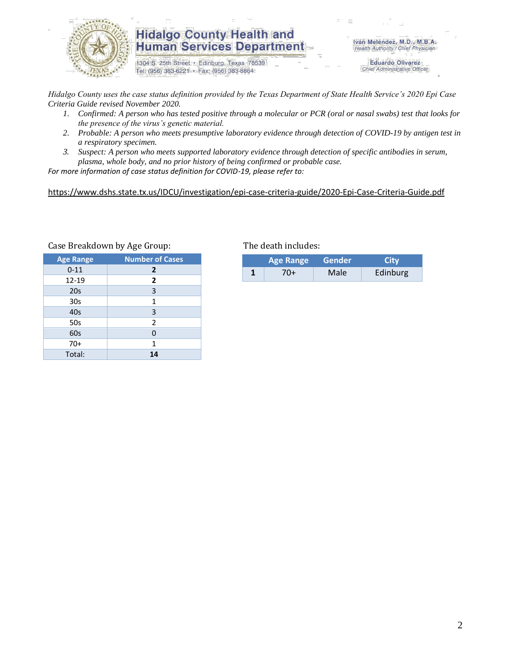

### **Hidalgo County Health and Human Services Department**

1304 S. 25th Street · Edinburg, Texas 78539 Tel: (956) 383-6221 · Fax: (956) 383-8864

Iván Meléndez, M.D., M.B.A. Health Authority / Chief Physician

> **Eduardo Olivarez** Chief Administrative Officer

*Hidalgo County uses the case status definition provided by the Texas Department of State Health Service's 2020 Epi Case Criteria Guide revised November 2020.*

- *1. Confirmed: A person who has tested positive through a molecular or PCR (oral or nasal swabs) test that looks for the presence of the virus's genetic material.*
- *2. Probable: A person who meets presumptive laboratory evidence through detection of COVID-19 by antigen test in a respiratory specimen.*
- *3. Suspect: A person who meets supported laboratory evidence through detection of specific antibodies in serum, plasma, whole body, and no prior history of being confirmed or probable case.*

*For more information of case status definition for COVID-19, please refer to:*

<https://www.dshs.state.tx.us/IDCU/investigation/epi-case-criteria-guide/2020-Epi-Case-Criteria-Guide.pdf>

| <b>Age Range</b> | <b>Number of Cases</b> |  |  |
|------------------|------------------------|--|--|
| $0 - 11$         | $\overline{2}$         |  |  |
| 12-19            | $\overline{2}$         |  |  |
| 20s              | 3                      |  |  |
| 30 <sub>s</sub>  | 1                      |  |  |
| 40s              | 3                      |  |  |
| 50s              | 2                      |  |  |
| 60s              | 0                      |  |  |
| $70+$            | 1                      |  |  |
| Total:           | 14                     |  |  |

#### Case Breakdown by Age Group: The death includes:

| <b>Age Range</b> |     | Gender            | City     |  |
|------------------|-----|-------------------|----------|--|
|                  | 70+ | Male <sup>-</sup> | Edinburg |  |